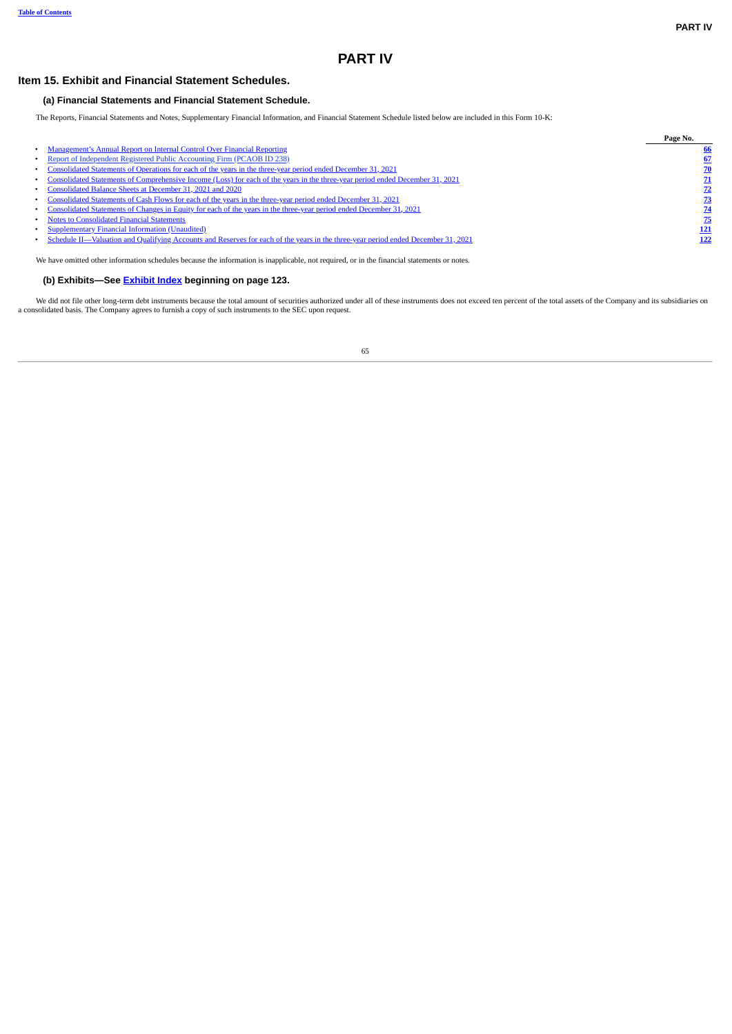## **PART IV**

## **Item 15. Exhibit and Financial Statement Schedules.**

### **(a) Financial Statements and Financial Statement Schedule.**

The Reports, Financial Statements and Notes, Supplementary Financial Information, and Financial Statement Schedule listed below are included in this Form 10-K:

|                                                                                                                                             | Page No.   |
|---------------------------------------------------------------------------------------------------------------------------------------------|------------|
| Management's Annual Report on Internal Control Over Financial Reporting                                                                     | 66         |
| Report of Independent Registered Public Accounting Firm (PCAOB ID 238)                                                                      |            |
| Consolidated Statements of Operations for each of the years in the three-year period ended December 31, 2021                                | 70         |
| Consolidated Statements of Comprehensive Income (Loss) for each of the years in the three-year period ended December 31, 2021               | 71         |
| Consolidated Balance Sheets at December 31, 2021 and 2020                                                                                   |            |
| Consolidated Statements of Cash Flows for each of the years in the three-year period ended December 31, 2021                                |            |
| Consolidated Statements of Changes in Equity for each of the years in the three-year period ended December 31, 2021                         |            |
| <b>Notes to Consolidated Financial Statements</b>                                                                                           | 75         |
| <b>Supplementary Financial Information (Unaudited)</b>                                                                                      | <b>121</b> |
| Schedule II—Valuation and Qualifying Accounts and Reserves for each of the years in the three-year period ended December 31, 2021           | 122        |
|                                                                                                                                             |            |
| We have omitted other information schedules because the information is inapplicable, not required, or in the financial statements or notes. |            |

**(b) Exhibits—See Exhibit Index beginning on page 123.**

We did not file other long-term debt instruments because the total amount of securities authorized under all of these instruments does not exceed ten percent of the total assets of the Company and its subsidiaries on<br>a con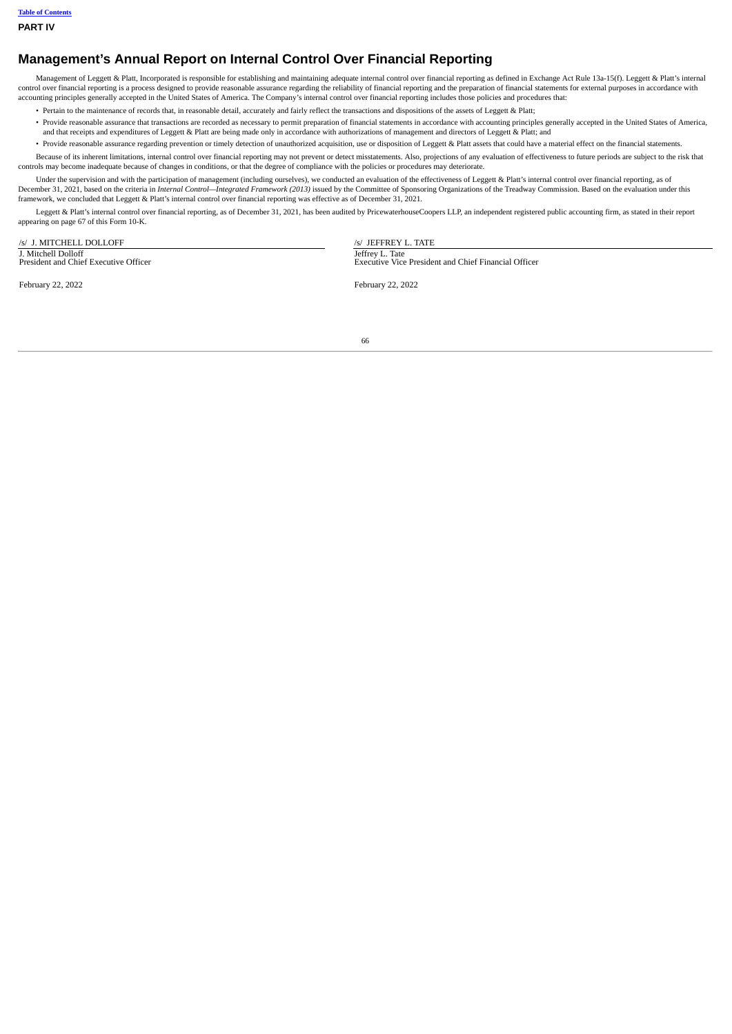## **Management's Annual Report on Internal Control Over Financial Reporting**

Management of Leggett & Platt, Incorporated is responsible for establishing and maintaining adequate internal control over financial reporting as defined in Exchange Act Rule 13a-15(f). Leggett & Platt's internal<br>Control o accounting principles generally accepted in the United States of America. The Company's internal control over financial reporting includes those policies and procedures that:

• Pertain to the maintenance of records that, in reasonable detail, accurately and fairly reflect the transactions and dispositions of the assets of Leggett & Platt;

• Provide reasonable assurance that transactions are recorded as necessary to permit preparation of financial statements in accordance with accounting principles generally accepted in the United States of America, and that receipts and expenditures of Leggett & Platt are being made only in accordance with authorizations of management and directors of Leggett & Platt; and

• Provide reasonable assurance regarding prevention or timely detection of unauthorized acquisition, use or disposition of Leggett & Platt assets that could have a material effect on the financial statements.

Because of its inherent limitations, internal control over financial reporting may not prevent or detect misstatements. Also, projections of any evaluation of effectiveness to future periods are subject to the risk that controls may become inadequate because of changes in conditions, or that the degree of compliance with the policies or procedures may deteriorate.

Under the supervision and with the participation of management (including ourselves), we conducted an evaluation of the effectiveness of Leggett & Platt's internal control over financial reporting, as of December 31, 2021, based on the criteria in Internal Control—Integrated Framework (2013) issued by the Committee of Sponsoring Organizations of the Treadway Commission. Based on the evaluation under this framework, we concluded that Leggett & Platt's internal control over financial reporting was effective as of December 31, 2021.

Leggett & Platt's internal control over financial reporting, as of December 31, 2021, has been audited by PricewaterhouseCoopers LLP, an independent registered public accounting firm, as stated in their report appearing on page 67 of this Form 10-K.

/s/ J. MITCHELL DOLLOFF  $/$ s/ JEFFREY L. TATE J. Mitchell Dolloff President and Chief Executive Officer

February 22, 2022 February 22, 2022

Jeffrey L. Tate Executive Vice President and Chief Financial Officer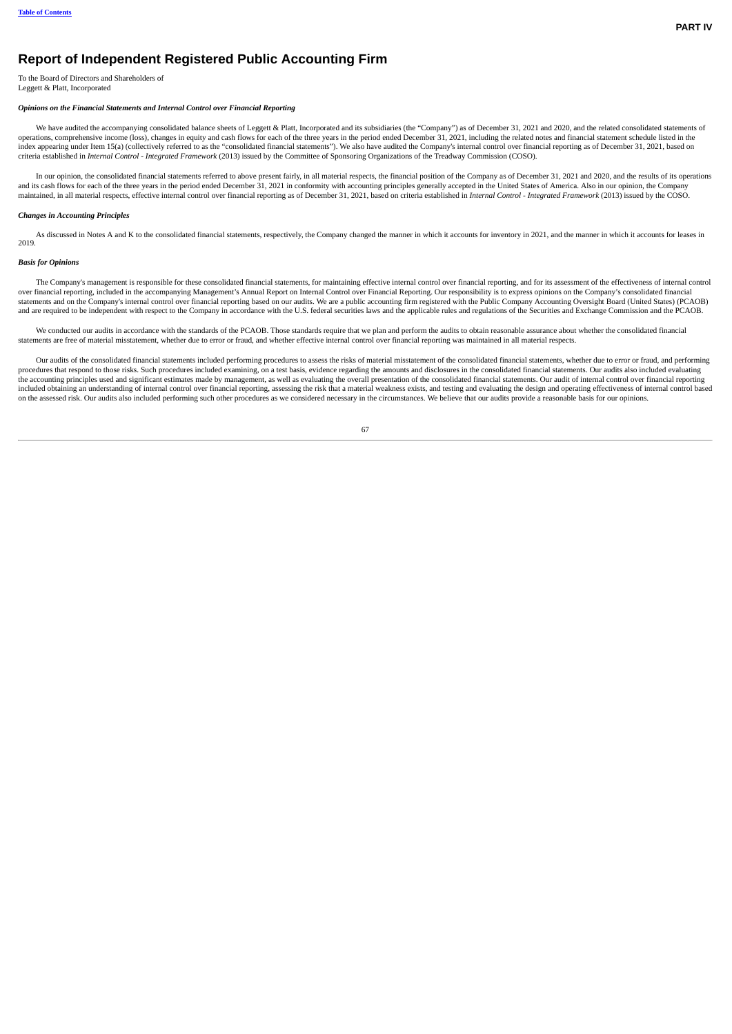## **Report of Independent Registered Public Accounting Firm**

To the Board of Directors and Shareholders of Leggett & Platt, Incorporated

#### *Opinions on the Financial Statements and Internal Control over Financial Reporting*

We have audited the accompanying consolidated balance sheets of Leggett & Platt, Incorporated and its subsidiaries (the "Company") as of December 31, 2021 and 2020, and the related consolidated statements of operations, comprehensive income (loss), changes in equity and cash flows for each of the three years in the period ended December 31, 2021, including the related notes and financial statement schedule listed in the index appearing under Item 15(a) (collectively referred to as the "consolidated financial statements"). We also have audited the Company's internal control over financial reporting as of December 31, 2021, based on criteria established in *Internal Control - Integrated Framework* (2013) issued by the Committee of Sponsoring Organizations of the Treadway Commission (COSO).

In our opinion, the consolidated financial statements referred to above present fairly, in all material respects, the financial position of the Company as of December 31, 2021 and 2020, and the results of its operations and its cash flows for each of the three years in the period ended December 31, 2021 in conformity with accounting principles generally accepted in the United States of America. Also in our opinion, the Company maintained, in all material respects, effective internal control over financial reporting as of December 31, 2021, based on criteria established in Internal Control - Integrated Framework (2013) issued by the COSO.

#### *Changes in Accounting Principles*

As discussed in Notes A and K to the consolidated financial statements, respectively, the Company changed the manner in which it accounts for inventory in 2021, and the manner in which it accounts for leases in 2019.

#### *Basis for Opinions*

The Company's management is responsible for these consolidated financial statements, for maintaining effective internal control over financial reporting, and for its assessment of the effectiveness of internal control over financial reporting, included in the accompanying Management's Annual Report on Internal Control over Financial Reporting. Our responsibility is to express opinions on the Company's consolidated financial statements and on the Company's internal control over financial reporting based on our audits. We are a public accounting firm registered with the Public Company Accounting Oversight Board (United States) (PCAOB) and are required to be independent with respect to the Company in accordance with the U.S. federal securities laws and the applicable rules and regulations of the Securities and Exchange Commission and the PCAOB.

We conducted our audits in accordance with the standards of the PCAOB. Those standards require that we plan and perform the audits to obtain reasonable assurance about whether the consolidated financial statements are free of material misstatement, whether due to error or fraud, and whether effective internal control over financial reporting was maintained in all material respects.

Our audits of the consolidated financial statements included performing procedures to assess the risks of material misstatement of the consolidated financial statements, whether due to error or fraud, and performing procedures that respond to those risks. Such procedures included examining, on a test basis, evidence regarding the amounts and disclosures in the consolidated financial statements. Our audits also included evaluating the accounting principles used and significant estimates made by management, as well as evaluating the overall presentation of the consolidated financial statements. Our audit of internal control over financial reporting included obtaining an understanding of internal control over financial reporting, assessing the risk that a material weakness exists, and testing and evaluating the design and operating effectiveness of internal control ba on the assessed risk. Our audits also included performing such other procedures as we considered necessary in the circumstances. We believe that our audits provide a reasonable basis for our opinions.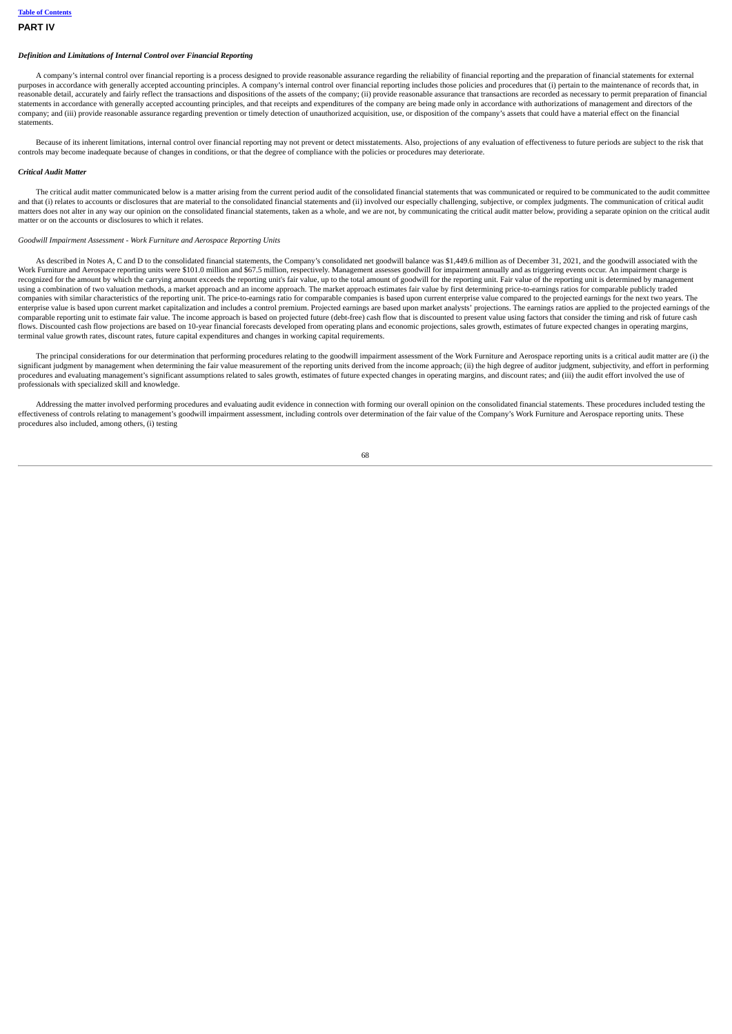### *Definition and Limitations of Internal Control over Financial Reporting*

A company's internal control over financial reporting is a process designed to provide reasonable assurance regarding the reliability of financial reporting and the preparation of financial statements for external purposes in accordance with generally accepted accounting principles. A company's internal control over financial reporting includes those policies and procedures that (i) pertain to the maintenance of records that, in reasonable detail, accurately and fairly reflect the transactions and dispositions of the assets of the company; (ii) provide reasonable assurance that transactions are recorded as necessary to permit preparation of financ statements in accordance with generally accepted accounting principles, and that receipts and expenditures of the company are being made only in accordance with authorizations of management and directors of the company; and (iii) provide reasonable assurance regarding prevention or timely detection of unauthorized acquisition, use, or disposition of the company's assets that could have a material effect on the financial statements.

Because of its inherent limitations, internal control over financial reporting may not prevent or detect misstatements. Also, projections of any evaluation of effectiveness to future periods are subject to the risk that controls may become inadequate because of changes in conditions, or that the degree of compliance with the policies or procedures may deteriorate.

#### *Critical Audit Matter*

The critical audit matter communicated below is a matter arising from the current period audit of the consolidated financial statements that was communicated or required to be communicated to the audit committee and that (i) relates to accounts or disclosures that are material to the consolidated financial statements and (ii) involved our especially challenging, subjective, or complex judgments. The communication of critical audit matter or on the accounts or disclosures to which it relates.

#### *Goodwill Impairment Assessment - Work Furniture and Aerospace Reporting Units*

As described in Notes A, C and D to the consolidated financial statements, the Company's consolidated net goodwill balance was \$1,449.6 million as of December 31, 2021, and the goodwill associated with the Work Furniture and Aerospace reporting units were \$101.0 million and \$67.5 million, respectively. Management assesses goodwill for impairment annually and as triggering events occur. An impairment charge is recognized for the amount by which the carrying amount exceeds the reporting unit's fair value, up to the total amount of goodwill for the reporting unit. Fair value of the reporting unit is determined by management using a combination of two valuation methods, a market approach and an income approach. The market approach estimates fair value by first determining price-to-earnings ratios for comparable publicly traded companies with similar characteristics of the reporting unit. The price-to-earnings ratio for comparable companies is based upon current enterprise value compared to the projected earnings for the next two years. The<br>enter comparable reporting unit to estimate fair value. The income approach is based on projected future (debt-free) cash flow that is discounted to present value using factors that consider the timing and risk of future cash flows. Discounted cash flow projections are based on 10-year financial forecasts developed from operating plans and economic projections, sales growth, estimates of future expected changes in operating margins, terminal value growth rates, discount rates, future capital expenditures and changes in working capital requirements.

The principal considerations for our determination that performing procedures relating to the goodwill impairment assessment of the Work Furniture and Aerospace reporting units is a critical audit matter are (i) the significant judgment by management when determining the fair value measurement of the reporting units derived from the income approach; (ii) the high degree of auditor judgment, subjectivity, and effort in performing procedures and evaluating management's significant assumptions related to sales growth, estimates of future expected changes in operating margins, and discount rates; and (iii) the audit effort involved the use of professionals with specialized skill and knowledge.

Addressing the matter involved performing procedures and evaluating audit evidence in connection with forming our overall opinion on the consolidated financial statements. These procedures included testing the effectiveness of controls relating to management's goodwill impairment assessment, including controls over determination of the fair value of the Company's Work Furniture and Aerospace reporting units. These procedures also included, among others, (i) testing

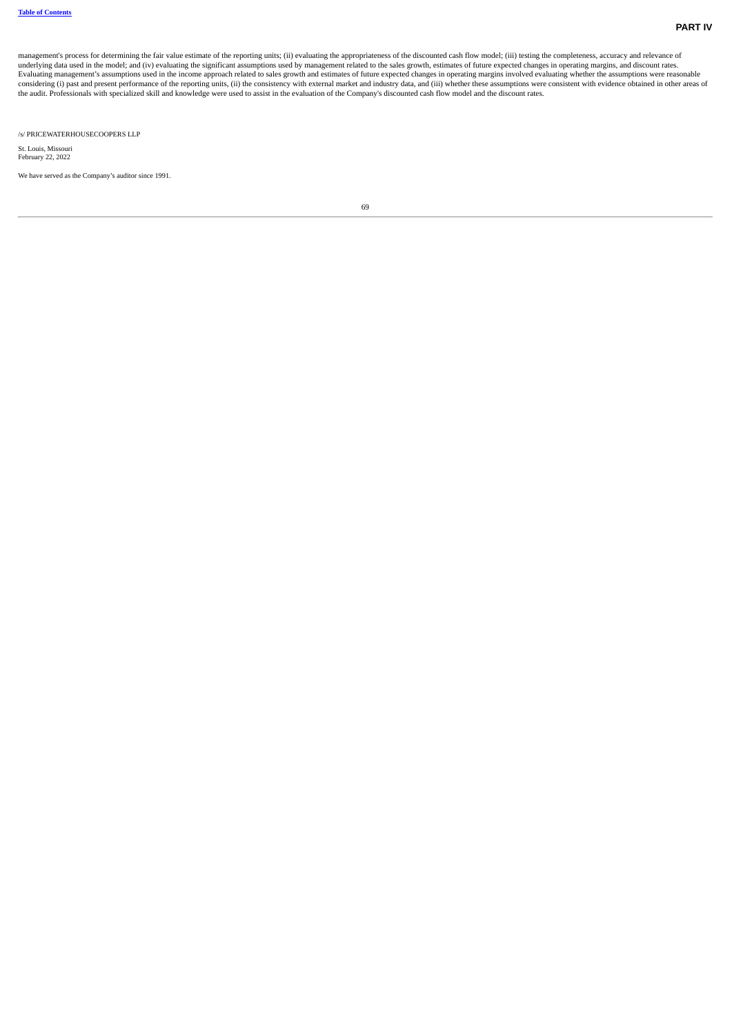**PART IV**

management's process for determining the fair value estimate of the reporting units; (ii) evaluating the appropriateness of the discounted cash flow model; (iii) testing the completeness, accuracy and relevance of underlyi

/s/ PRICEWATERHOUSECOOPERS LLP

St. Louis, Missouri February 22, 2022

We have served as the Company's auditor since 1991.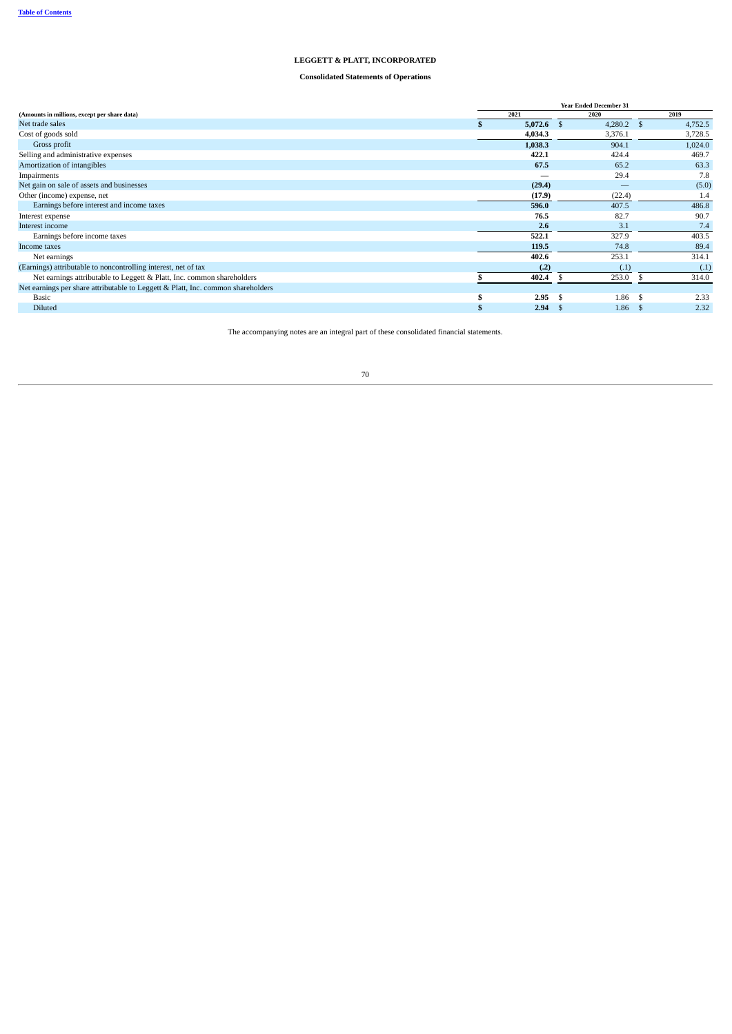## **LEGGETT & PLATT, INCORPORATED**

## **Consolidated Statements of Operations**

|                                                                                  | <b>Year Ended December 31</b> |               |                 |  |  |  |  |
|----------------------------------------------------------------------------------|-------------------------------|---------------|-----------------|--|--|--|--|
| (Amounts in millions, except per share data)                                     | 2021                          | 2020          | 2019            |  |  |  |  |
| Net trade sales                                                                  | 5,072.6                       | 4,280.2<br>£. | 4,752.5<br>- 55 |  |  |  |  |
| Cost of goods sold                                                               | 4,034.3                       | 3,376.1       | 3,728.5         |  |  |  |  |
| Gross profit                                                                     | 1,038.3                       | 904.1         | 1,024.0         |  |  |  |  |
| Selling and administrative expenses                                              | 422.1                         | 424.4         | 469.7           |  |  |  |  |
| Amortization of intangibles                                                      | 67.5                          | 65.2          | 63.3            |  |  |  |  |
| Impairments                                                                      |                               | 29.4          | 7.8             |  |  |  |  |
| Net gain on sale of assets and businesses                                        | (29.4)                        |               | (5.0)           |  |  |  |  |
| Other (income) expense, net                                                      | (17.9)                        | (22.4)        | 1.4             |  |  |  |  |
| Earnings before interest and income taxes                                        | 596.0                         | 407.5         | 486.8           |  |  |  |  |
| Interest expense                                                                 | 76.5                          | 82.7          | 90.7            |  |  |  |  |
| Interest income                                                                  | 2.6                           | 3.1           | 7.4             |  |  |  |  |
| Earnings before income taxes                                                     | 522.1                         | 327.9         | 403.5           |  |  |  |  |
| Income taxes                                                                     | 119.5                         | 74.8          | 89.4            |  |  |  |  |
| Net earnings                                                                     | 402.6                         | 253.1         | 314.1           |  |  |  |  |
| (Earnings) attributable to noncontrolling interest, net of tax                   | (.2)                          | (.1)          | (.1)            |  |  |  |  |
| Net earnings attributable to Leggett & Platt, Inc. common shareholders           | 402.4                         | 253.0         | 314.0           |  |  |  |  |
| Net earnings per share attributable to Leggett & Platt, Inc. common shareholders |                               |               |                 |  |  |  |  |
| Basic                                                                            | 2.95                          | 1.86<br>£.    | 2.33<br>-\$     |  |  |  |  |
| Diluted                                                                          | 2.94                          | 1.86<br>- 5   | 2.32<br>- 55    |  |  |  |  |

The accompanying notes are an integral part of these consolidated financial statements.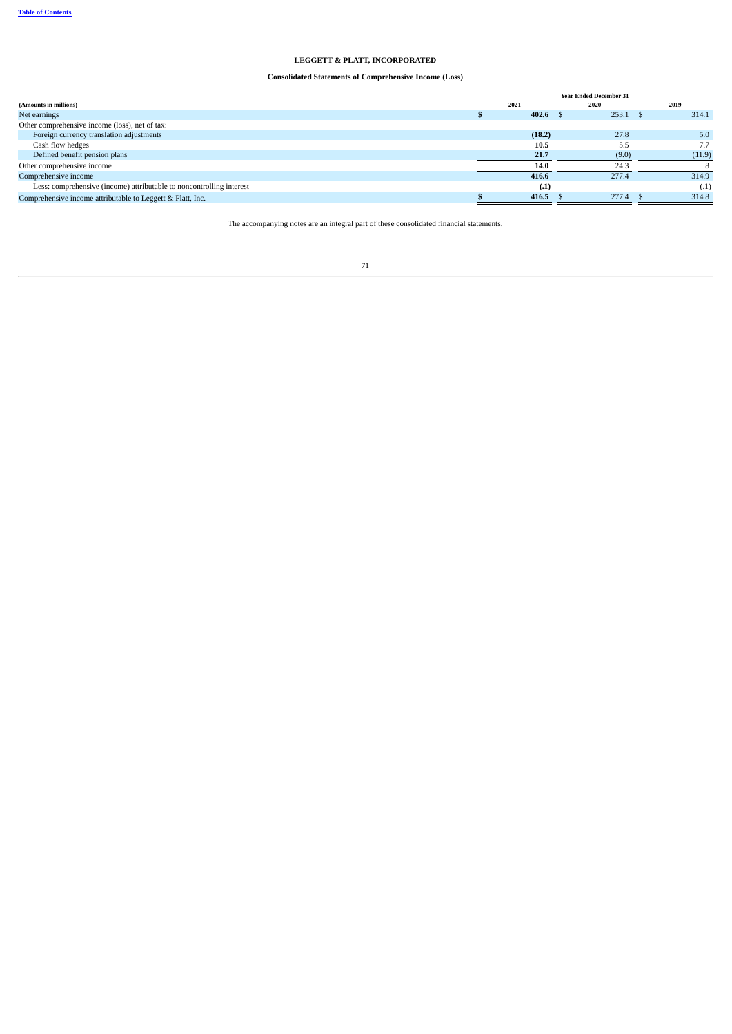## **LEGGETT & PLATT, INCORPORATED**

## **Consolidated Statements of Comprehensive Income (Loss)**

|                                                                      | <b>Year Ended December 31</b> |                          |        |  |  |  |
|----------------------------------------------------------------------|-------------------------------|--------------------------|--------|--|--|--|
| (Amounts in millions)                                                | 2021<br>2020<br>2019          |                          |        |  |  |  |
| Net earnings                                                         |                               | 253.1                    | 314.1  |  |  |  |
| Other comprehensive income (loss), net of tax:                       |                               |                          |        |  |  |  |
| Foreign currency translation adjustments                             | (18.2)                        | 27.8                     | 5.0    |  |  |  |
| Cash flow hedges                                                     | 10.5                          | 5.5                      | 7.7    |  |  |  |
| Defined benefit pension plans                                        | 21.7                          | (9.0)                    | (11.9) |  |  |  |
| Other comprehensive income                                           | 14.0                          | 24.3                     |        |  |  |  |
| Comprehensive income                                                 | 416.6                         | 277.4                    | 314.9  |  |  |  |
| Less: comprehensive (income) attributable to noncontrolling interest | (.1)                          | $\overline{\phantom{a}}$ | (.1)   |  |  |  |
| Comprehensive income attributable to Leggett & Platt, Inc.           | 416.5                         | 277.4                    | 314.8  |  |  |  |

The accompanying notes are an integral part of these consolidated financial statements.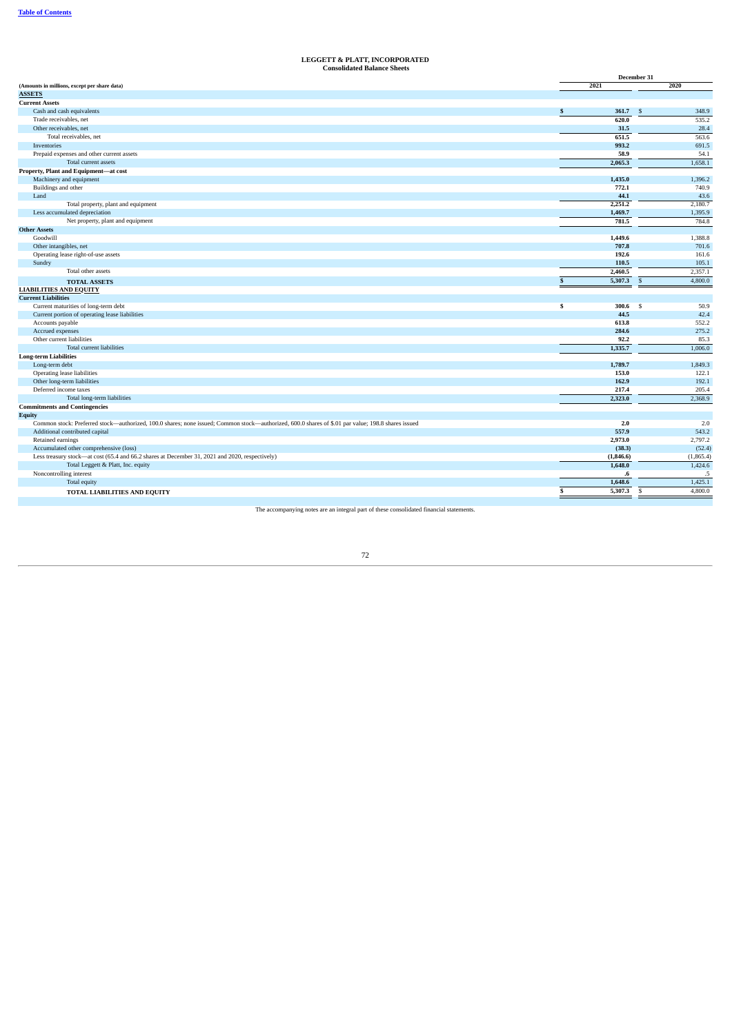## **LEGGETT & PLATT, INCORPORATED Consolidated Balance Sheets**

|                                                                                                                                                    |                           | December 31                         |  |  |
|----------------------------------------------------------------------------------------------------------------------------------------------------|---------------------------|-------------------------------------|--|--|
| (Amounts in millions, except per share data)                                                                                                       | 2021                      | 2020                                |  |  |
| <b>ASSETS</b>                                                                                                                                      |                           |                                     |  |  |
| <b>Current Assets</b>                                                                                                                              |                           |                                     |  |  |
| Cash and cash equivalents                                                                                                                          | s.<br>361.7               | 348.9<br>$\mathbf{s}$               |  |  |
| Trade receivables, net                                                                                                                             | 620.0                     | 535.2                               |  |  |
| Other receivables, net                                                                                                                             | 31.5                      | 28.4                                |  |  |
| Total receivables, net                                                                                                                             | 651.5                     | 563.6                               |  |  |
| Inventories                                                                                                                                        | 993.2                     | 691.5                               |  |  |
| Prepaid expenses and other current assets                                                                                                          | 58.9                      | 54.1                                |  |  |
| <b>Total current assets</b>                                                                                                                        | 2,065.3                   | 1,658.1                             |  |  |
| Property, Plant and Equipment-at cost                                                                                                              |                           |                                     |  |  |
| Machinery and equipment                                                                                                                            | 1,435.0                   | 1,396.2                             |  |  |
| Buildings and other                                                                                                                                | 772.1                     | 740.9                               |  |  |
| Land                                                                                                                                               | 44.1                      | 43.6                                |  |  |
| Total property, plant and equipment                                                                                                                | 2,251.2                   | 2,180.7                             |  |  |
| Less accumulated depreciation                                                                                                                      | 1,469.7                   | 1,395.9                             |  |  |
| Net property, plant and equipment                                                                                                                  | 781.5                     | 784.8                               |  |  |
| <b>Other Assets</b>                                                                                                                                |                           |                                     |  |  |
| Goodwill                                                                                                                                           | 1,449.6                   | 1,388.8                             |  |  |
| Other intangibles, net                                                                                                                             | 707.8                     | 701.6                               |  |  |
| Operating lease right-of-use assets                                                                                                                | 192.6                     | 161.6                               |  |  |
| Sundry                                                                                                                                             | 110.5                     | 105.1                               |  |  |
| Total other assets                                                                                                                                 | 2,460.5                   | 2,357.1                             |  |  |
| <b>TOTAL ASSETS</b>                                                                                                                                | $\overline{s}$<br>5,307.3 | $\overline{\mathcal{S}}$<br>4,800.0 |  |  |
| <b>LIABILITIES AND EQUITY</b>                                                                                                                      |                           |                                     |  |  |
| <b>Current Liabilities</b>                                                                                                                         |                           |                                     |  |  |
| Current maturities of long-term debt                                                                                                               | s<br>300.6                | - \$<br>50.9                        |  |  |
| Current portion of operating lease liabilities                                                                                                     | 44.5                      | 42.4                                |  |  |
| Accounts payable                                                                                                                                   | 613.8                     | 552.2                               |  |  |
| Accrued expenses                                                                                                                                   | 284.6                     | 275.2                               |  |  |
| Other current liabilities                                                                                                                          | 92.2                      | 85.3                                |  |  |
| Total current liabilities                                                                                                                          | 1,335.7                   | 1,006.0                             |  |  |
| <b>Long-term Liabilities</b>                                                                                                                       |                           |                                     |  |  |
| Long-term debt                                                                                                                                     | 1,789.7<br>153.0          | 1,849.3<br>122.1                    |  |  |
| Operating lease liabilities<br>Other long-term liabilities                                                                                         | 162.9                     | 192.1                               |  |  |
| Deferred income taxes                                                                                                                              | 217.4                     | 205.4                               |  |  |
| Total long-term liabilities                                                                                                                        | 2,323.0                   | 2,368.9                             |  |  |
| <b>Commitments and Contingencies</b>                                                                                                               |                           |                                     |  |  |
| <b>Equity</b>                                                                                                                                      |                           |                                     |  |  |
| Common stock: Preferred stock—authorized, 100.0 shares; none issued; Common stock—authorized, 600.0 shares of \$.01 par value; 198.8 shares issued | 2.0                       | 2.0                                 |  |  |
| Additional contributed capital                                                                                                                     | 557.9                     | 543.2                               |  |  |
| Retained earnings                                                                                                                                  | 2,973.0                   | 2,797.2                             |  |  |
| Accumulated other comprehensive (loss)                                                                                                             | (38.3)                    | (52.4)                              |  |  |
| Less treasury stock-at cost (65.4 and 66.2 shares at December 31, 2021 and 2020, respectively)                                                     | (1, 846.6)                | (1,865.4)                           |  |  |
| Total Leggett & Platt, Inc. equity                                                                                                                 | 1,648.0                   | 1,424.6                             |  |  |
| Noncontrolling interest                                                                                                                            | $.6\phantom{0}$           | .5                                  |  |  |
| Total equity                                                                                                                                       | 1,648.6                   | 1,425.1                             |  |  |
| TOTAL LIABILITIES AND EQUITY                                                                                                                       | s<br>5,307.3              | \$<br>4.800.0                       |  |  |
|                                                                                                                                                    |                           |                                     |  |  |

The accompanying notes are an integral part of these consolidated financial statements.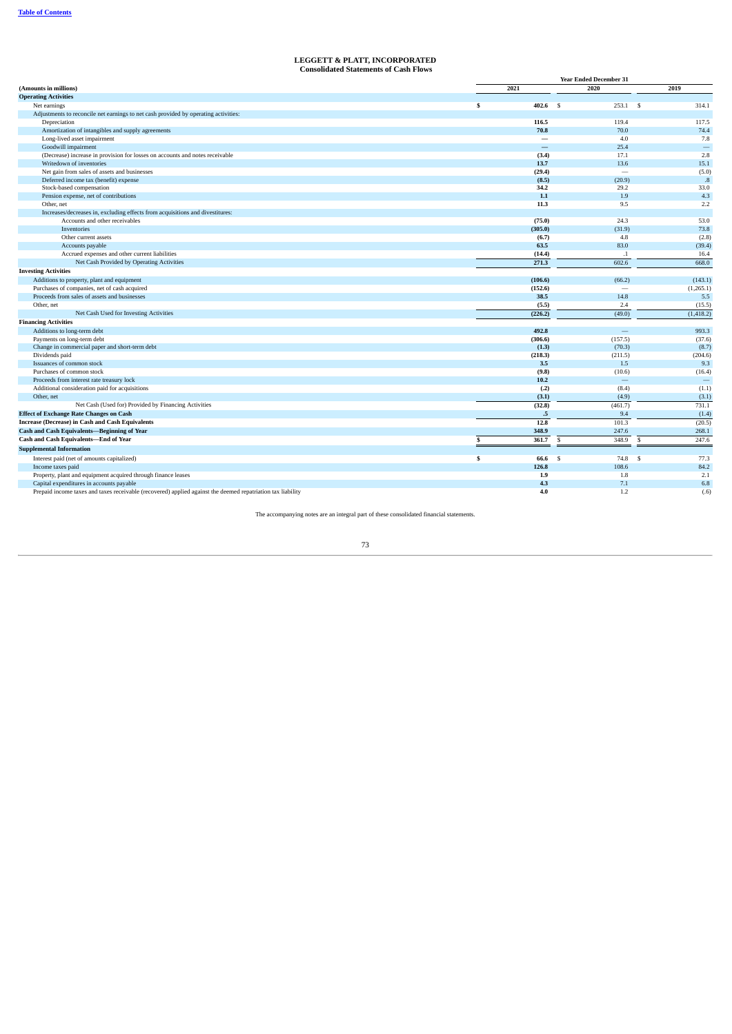#### **LEGGETT & PLATT, INCORPORATED Consolidated Statements of Cash Flows**

|                                                                                                             | <b>Year Ended December 31</b> |                                    |                                    |  |  |
|-------------------------------------------------------------------------------------------------------------|-------------------------------|------------------------------------|------------------------------------|--|--|
| (Amounts in millions)                                                                                       | 2021                          | 2020                               | 2019                               |  |  |
| <b>Operating Activities</b>                                                                                 |                               |                                    |                                    |  |  |
| Net earnings                                                                                                | s<br>$402.6$ \$               | 253.1 S                            | 314.1                              |  |  |
| Adjustments to reconcile net earnings to net cash provided by operating activities:                         |                               |                                    |                                    |  |  |
| Depreciation                                                                                                | 116.5                         | 119.4                              | 117.5                              |  |  |
| Amortization of intangibles and supply agreements                                                           | 70.8                          | 70.0                               | 74.4                               |  |  |
| Long-lived asset impairment                                                                                 | $\overline{\phantom{0}}$      | 4.0                                | 7.8                                |  |  |
| Goodwill impairment                                                                                         | $\overline{\phantom{0}}$      | 25.4                               | $\overline{\phantom{m}}$           |  |  |
| (Decrease) increase in provision for losses on accounts and notes receivable                                | (3.4)                         | 17.1                               | 2.8                                |  |  |
| Writedown of inventories                                                                                    | 13.7                          | 13.6                               | 15.1                               |  |  |
| Net gain from sales of assets and businesses                                                                | (29.4)                        | $\overline{\phantom{a}}$           | (5.0)                              |  |  |
| Deferred income tax (benefit) expense                                                                       | (8.5)                         | (20.9)                             | ${\bf .8}$                         |  |  |
| Stock-based compensation                                                                                    | 34.2                          | 29.2                               | 33.0                               |  |  |
| Pension expense, net of contributions                                                                       | 1.1                           | 1.9                                | 4.3                                |  |  |
| Other, net                                                                                                  | 11.3                          | 9.5                                | 2.2                                |  |  |
| Increases/decreases in, excluding effects from acquisitions and divestitures:                               |                               |                                    |                                    |  |  |
| Accounts and other receivables                                                                              | (75.0)                        | 24.3                               | 53.0                               |  |  |
| Inventories                                                                                                 | (305.0)                       | (31.9)                             | 73.8                               |  |  |
| Other current assets                                                                                        | (6.7)                         | 4.8                                | (2.8)                              |  |  |
| Accounts payable                                                                                            | 63.5                          | 83.0                               | (39.4)                             |  |  |
| Accrued expenses and other current liabilities                                                              | (14.4)                        | $\cdot$                            | 16.4                               |  |  |
| Net Cash Provided by Operating Activities                                                                   | 271.3                         | 602.6                              | 668.0                              |  |  |
| <b>Investing Activities</b>                                                                                 |                               |                                    |                                    |  |  |
| Additions to property, plant and equipment                                                                  | (106.6)                       | (66.2)                             | (143.1)                            |  |  |
| Purchases of companies, net of cash acquired                                                                | (152.6)                       | $\overline{\phantom{a}}$           | (1,265.1)                          |  |  |
| Proceeds from sales of assets and businesses                                                                | 38.5                          | 14.8                               | 5.5                                |  |  |
| Other, net                                                                                                  | (5.5)                         | 2.4                                | (15.5)                             |  |  |
| Net Cash Used for Investing Activities                                                                      | (226.2)                       | (49.0)                             | (1, 418.2)                         |  |  |
| <b>Financing Activities</b>                                                                                 |                               |                                    |                                    |  |  |
| Additions to long-term debt                                                                                 | 492.8                         | $\overline{\phantom{a}}$           | 993.3                              |  |  |
| Payments on long-term debt                                                                                  | (306.6)                       | (157.5)                            | (37.6)                             |  |  |
| Change in commercial paper and short-term debt                                                              | (1.3)                         | (70.3)                             | (8.7)                              |  |  |
| Dividends paid                                                                                              | (218.3)                       | (211.5)                            | (204.6)                            |  |  |
| Issuances of common stock<br>Purchases of common stock                                                      | 3.5                           | 1.5                                | 9.3                                |  |  |
| Proceeds from interest rate treasury lock                                                                   | (9.8)<br>10.2                 | (10.6)<br>$\overline{\phantom{m}}$ | (16.4)<br>$\overline{\phantom{m}}$ |  |  |
|                                                                                                             |                               |                                    |                                    |  |  |
| Additional consideration paid for acquisitions<br>Other, net                                                | (.2)<br>(3.1)                 | (8.4)<br>(4.9)                     | (1.1)<br>(3.1)                     |  |  |
| Net Cash (Used for) Provided by Financing Activities                                                        | (32.8)                        | (461.7)                            | 731.1                              |  |  |
| <b>Effect of Exchange Rate Changes on Cash</b>                                                              | $.5\phantom{0}$               | 9.4                                |                                    |  |  |
| Increase (Decrease) in Cash and Cash Equivalents                                                            | 12.8                          | 101.3                              | (1.4)<br>(20.5)                    |  |  |
| Cash and Cash Equivalents-Beginning of Year                                                                 | 348.9                         | 247.6                              | 268.1                              |  |  |
| Cash and Cash Equivalents-End of Year                                                                       | 361.7                         | $\overline{s}$<br>348.9            | 247.6<br>$\overline{s}$            |  |  |
|                                                                                                             |                               |                                    |                                    |  |  |
| <b>Supplemental Information</b>                                                                             |                               |                                    |                                    |  |  |
| Interest paid (net of amounts capitalized)                                                                  | \$<br>66.6                    | -S<br>74.8                         | $\mathbf{s}$<br>77.3               |  |  |
| Income taxes paid                                                                                           | 126.8                         | 108.6                              | 84.2                               |  |  |
| Property, plant and equipment acquired through finance leases                                               | 1.9                           | 1.8                                | 2.1                                |  |  |
| Capital expenditures in accounts payable                                                                    | 4.3                           | 7.1                                | 6.8                                |  |  |
| Prepaid income taxes and taxes receivable (recovered) applied against the deemed repatriation tax liability | 4.0                           | 1.2                                | (.6)                               |  |  |

The accompanying notes are an integral part of these consolidated financial statements.